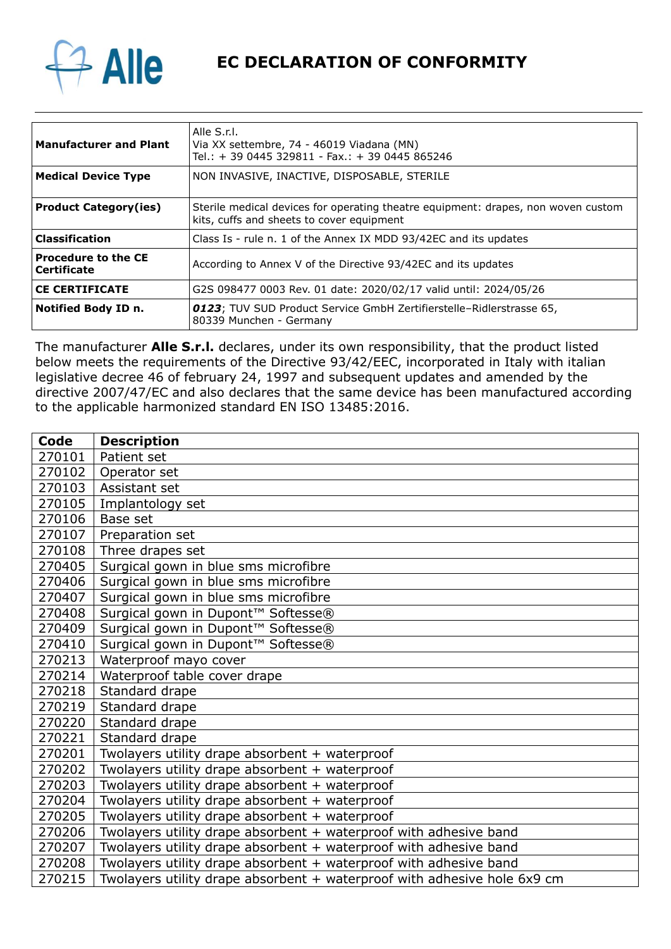

**EC DECLARATION OF CONFORMITY**

| Manufacturer and Plant                    | Alle S.r.I.<br>Via XX settembre, 74 - 46019 Viadana (MN)<br>Tel.: + 39 0445 329811 - Fax.: + 39 0445 865246                    |
|-------------------------------------------|--------------------------------------------------------------------------------------------------------------------------------|
| Medical Device Type                       | NON INVASIVE, INACTIVE, DISPOSABLE, STERILE                                                                                    |
| <b>Product Category(ies)</b>              | Sterile medical devices for operating theatre equipment: drapes, non woven custom<br>kits, cuffs and sheets to cover equipment |
| Classification                            | Class Is - rule n. 1 of the Annex IX MDD 93/42EC and its updates                                                               |
| Procedure to the CE<br><b>Certificate</b> | According to Annex V of the Directive 93/42EC and its updates                                                                  |
| <b>CE CERTIFICATE</b>                     | G2S 098477 0003 Rev. 01 date: 2020/02/17 valid until: 2024/05/26                                                               |
| Notified Body ID n.                       | <b>0123</b> ; TUV SUD Product Service GmbH Zertifierstelle-Ridlerstrasse 65,<br>80339 Munchen - Germany                        |

The manufacturer **Alle S.r.l.** declares, under its own responsibility, that the product listed below meets the requirements of the Directive 93/42/EEC, incorporated in Italy with italian legislative decree 46 of february 24, 1997 and subsequent updates and amended by the directive 2007/47/EC and also declares that the same device has been manufactured according to the applicable harmonized standard EN ISO 13485:2016.

| Code   | <b>Description</b>                                                       |
|--------|--------------------------------------------------------------------------|
| 270101 | Patient set                                                              |
| 270102 | Operator set                                                             |
| 270103 | Assistant set                                                            |
| 270105 | Implantology set                                                         |
| 270106 | Base set                                                                 |
| 270107 | Preparation set                                                          |
| 270108 | Three drapes set                                                         |
| 270405 | Surgical gown in blue sms microfibre                                     |
| 270406 | Surgical gown in blue sms microfibre                                     |
| 270407 | Surgical gown in blue sms microfibre                                     |
| 270408 | Surgical gown in Dupont™ Softesse®                                       |
| 270409 | Surgical gown in Dupont™ Softesse®                                       |
| 270410 | Surgical gown in Dupont™ Softesse®                                       |
| 270213 | Waterproof mayo cover                                                    |
| 270214 | Waterproof table cover drape                                             |
| 270218 | Standard drape                                                           |
| 270219 | Standard drape                                                           |
| 270220 | Standard drape                                                           |
| 270221 | Standard drape                                                           |
| 270201 | Twolayers utility drape absorbent + waterproof                           |
| 270202 | Twolayers utility drape absorbent + waterproof                           |
| 270203 | Twolayers utility drape absorbent + waterproof                           |
| 270204 | Twolayers utility drape absorbent + waterproof                           |
| 270205 | Twolayers utility drape absorbent + waterproof                           |
| 270206 | Twolayers utility drape absorbent + waterproof with adhesive band        |
| 270207 | Twolayers utility drape absorbent + waterproof with adhesive band        |
| 270208 | Twolayers utility drape absorbent + waterproof with adhesive band        |
| 270215 | Twolayers utility drape absorbent + waterproof with adhesive hole 6x9 cm |